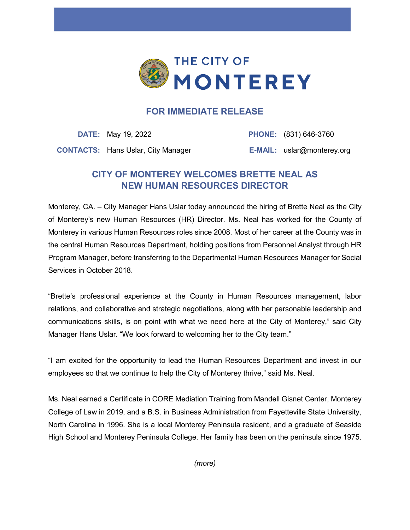

## **FOR IMMEDIATE RELEASE**

**DATE:** May 19, 2022 **PHONE:** (831) 646-3760 **CONTACTS:** Hans Uslar, City Manager **E-MAIL:** uslar@monterey.org

## **CITY OF MONTEREY WELCOMES BRETTE NEAL AS NEW HUMAN RESOURCES DIRECTOR**

Monterey, CA. – City Manager Hans Uslar today announced the hiring of Brette Neal as the City of Monterey's new Human Resources (HR) Director. Ms. Neal has worked for the County of Monterey in various Human Resources roles since 2008. Most of her career at the County was in the central Human Resources Department, holding positions from Personnel Analyst through HR Program Manager, before transferring to the Departmental Human Resources Manager for Social Services in October 2018.

"Brette's professional experience at the County in Human Resources management, labor relations, and collaborative and strategic negotiations, along with her personable leadership and communications skills, is on point with what we need here at the City of Monterey," said City Manager Hans Uslar. "We look forward to welcoming her to the City team."

"I am excited for the opportunity to lead the Human Resources Department and invest in our employees so that we continue to help the City of Monterey thrive," said Ms. Neal.

Ms. Neal earned a Certificate in CORE Mediation Training from Mandell Gisnet Center, Monterey College of Law in 2019, and a B.S. in Business Administration from Fayetteville State University, North Carolina in 1996. She is a local Monterey Peninsula resident, and a graduate of Seaside High School and Monterey Peninsula College. Her family has been on the peninsula since 1975.

*(more)*